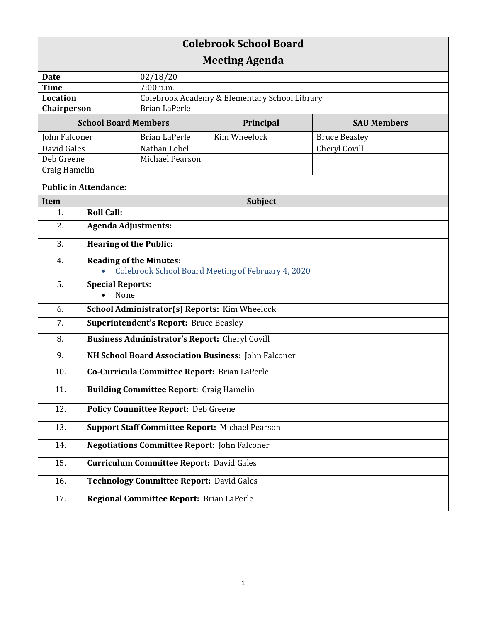| <b>Colebrook School Board</b> |                                                        |                                               |              |                      |  |
|-------------------------------|--------------------------------------------------------|-----------------------------------------------|--------------|----------------------|--|
| <b>Meeting Agenda</b>         |                                                        |                                               |              |                      |  |
| <b>Date</b>                   |                                                        | 02/18/20                                      |              |                      |  |
| <b>Time</b>                   |                                                        | 7:00 p.m.                                     |              |                      |  |
| <b>Location</b>               |                                                        | Colebrook Academy & Elementary School Library |              |                      |  |
| Chairperson                   |                                                        | <b>Brian LaPerle</b>                          |              |                      |  |
| <b>School Board Members</b>   |                                                        |                                               | Principal    | <b>SAU Members</b>   |  |
| John Falconer                 |                                                        | <b>Brian LaPerle</b>                          | Kim Wheelock | <b>Bruce Beasley</b> |  |
| David Gales                   |                                                        | Nathan Lebel                                  |              | Cheryl Covill        |  |
| Deb Greene                    |                                                        | Michael Pearson                               |              |                      |  |
| Craig Hamelin                 |                                                        |                                               |              |                      |  |
| <b>Public in Attendance:</b>  |                                                        |                                               |              |                      |  |
| <b>Item</b>                   | Subject                                                |                                               |              |                      |  |
| 1.                            | <b>Roll Call:</b>                                      |                                               |              |                      |  |
| 2.                            | <b>Agenda Adjustments:</b>                             |                                               |              |                      |  |
| 3.                            | <b>Hearing of the Public:</b>                          |                                               |              |                      |  |
| 4.                            | <b>Reading of the Minutes:</b>                         |                                               |              |                      |  |
|                               | Colebrook School Board Meeting of February 4, 2020     |                                               |              |                      |  |
| 5.                            | <b>Special Reports:</b><br>None                        |                                               |              |                      |  |
| 6.                            | School Administrator(s) Reports: Kim Wheelock          |                                               |              |                      |  |
| 7.                            | <b>Superintendent's Report: Bruce Beasley</b>          |                                               |              |                      |  |
| 8.                            | <b>Business Administrator's Report:</b> Cheryl Covill  |                                               |              |                      |  |
| 9.                            | NH School Board Association Business: John Falconer    |                                               |              |                      |  |
| 10.                           | Co-Curricula Committee Report: Brian LaPerle           |                                               |              |                      |  |
| 11.                           | <b>Building Committee Report: Craig Hamelin</b>        |                                               |              |                      |  |
| 12.                           | <b>Policy Committee Report: Deb Greene</b>             |                                               |              |                      |  |
| 13.                           | <b>Support Staff Committee Report: Michael Pearson</b> |                                               |              |                      |  |
| 14.                           | <b>Negotiations Committee Report: John Falconer</b>    |                                               |              |                      |  |
| 15.                           | <b>Curriculum Committee Report: David Gales</b>        |                                               |              |                      |  |
| 16.                           | <b>Technology Committee Report: David Gales</b>        |                                               |              |                      |  |
| 17.                           |                                                        | Regional Committee Report: Brian LaPerle      |              |                      |  |